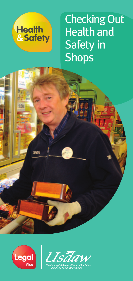

ESCO

Checking Out Health and **Safety in Shops** 



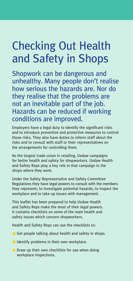# Checking Out Health and Safety in Shops

Shopwork can be dangerous and unhealthy. Many people don't realise how serious the hazards are. Nor do they realise that the problems are not an inevitable part of the job. Hazards can be reduced if working conditions are improved.

Employers have a legal duty to identify the significant risks and to introduce preventive and protective measures to control those risks. They also have duties to inform staff about the risks and to consult with staff or their representatives on the arrangements for controlling them.

As the largest trade union in retailing, Usdaw campaigns for better health and safety for shopworkers. Usdaw Health and Safety Reps play a key role in that campaign in the shops where they work.

Under the Safety Representative and Safety Committee Regulations they have legal powers to consult with the members they represent; to investigate potential hazards; to inspect the workplace and to take up issues with management.

This leaflet has been prepared to help Usdaw Health and Safety Reps make the most of their legal powers. It contains checklists on some of the main health and safety issues which concern shopworkers.

Health and Safety Reps can use the checklists to:

- Get people talking about health and safety in shops.
- **IDENTIFY COMPASSIS IN THE UP THE INCOCO CONTROL**
- **O** Draw up their own checklists for use when doing workplace inspections.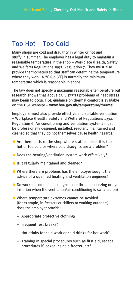### Too Hot – Too Cold

Many shops are cold and draughty in winter or hot and stuffy in summer. The employer has a legal duty to maintain a reasonable temperature in the shop – Workplace (Health, Safety and Welfare) Regulations 1992, Regulation 7. They must also provide thermometers so that staff can determine the temperature where they work. 16°C (60.8°F) is normally the minimum temperature which is reasonable in shops.

The law does not specify a maximum reasonable temperature but research shows that above  $25^{\circ}C$  (77°F) problems of heat stress may begin to occur. HSE guidance on thermal comfort is available on the HSE website – **www.hse.gov.uk/temperature/thermal**

Employers must also provide effective and suitable ventilation – Workplace (Health, Safety and Welfare) Regulations 1992, Regulation 6. Air conditioning and ventilation systems must be professionally designed, installed, regularly maintained and cleaned so that they do not themselves cause health hazards.

- Are there parts of the shop where staff consider it is too hot or too cold or where cold draughts are a problem?
- O Does the heating/ventilation system work effectively?
- If It regularly maintained and cleaned?
- Where there are problems has the employer sought the advice of a qualified heating and ventilation engineer?
- Do workers complain of coughs, sore throats, sneezing or eye irritation when the ventilation/air conditioning is switched on?
- Where temperature extremes cannot be avoided (for example, in freezers or chillers or working outdoors) does the employer provide:
	- Appropriate protective clothing?
	- Frequent rest breaks?
	- Hot drinks for cold work or cold drinks for hot work?
	- Training in special procedures such as first aid, escape procedures if locked inside a freezer, etc?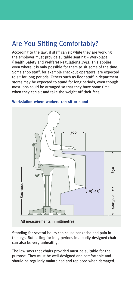# Are You Sitting Comfortably?

According to the law, if staff can sit while they are working the employer must provide suitable seating – Workplace (Health Safety and Welfare) Regulations 1992. This applies even where it is only possible for them to sit some of the time. Some shop staff, for example checkout operators, are expected to sit for long periods. Others such as floor staff in department stores may be expected to stand for long periods, even though most jobs could be arranged so that they have some time when they can sit and take the weight off their feet.



#### **Workstation where workers can sit or stand**

All measurements in millimetres

Standing for several hours can cause backache and pain in the legs. But sitting for long periods in a badly designed chair can also be very unhealthy.

The law says that chairs provided must be suitable for the purpose. They must be well-designed and comfortable and should be regularly maintained and replaced when damaged.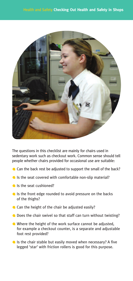

The questions in this checklist are mainly for chairs used in sedentary work such as checkout work. Common sense should tell people whether chairs provided for occasional use are suitable:

- Can the back rest be adjusted to support the small of the back?
- If Is the seat covered with comfortable non-slip material?
- Is the seat cushioned?
- If Is the front edge rounded to avoid pressure on the backs of the thighs?
- Can the height of the chair be adjusted easily?
- Does the chair swivel so that staff can turn without twisting?
- Where the height of the work surface cannot be adjusted, for example a checkout counter, is a separate and adjustable foot rest provided?
- $\blacksquare$  Is the chair stable but easily moved when necessary? A five legged 'star' with friction rollers is good for this purpose.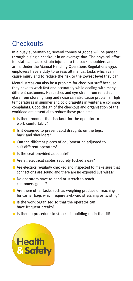### **Checkouts**

In a busy supermarket, several tonnes of goods will be passed through a single checkout in an average day. The physical effort for staff can cause strain injuries to the back, shoulders and arms. Under the Manual Handling Operations Regulations 1992, employers have a duty to assess all manual tasks which can cause injury and to reduce the risk to the lowest level they can.

Mental stress can also be a problem for checkout staff because they have to work fast and accurately while dealing with many different customers. Headaches and eye strain from reflected glare from store lighting and noise can also cause problems. High temperatures in summer and cold draughts in winter are common complaints. Good design of the checkout and organisation of the workload are essential to reduce these problems.

- In Is there room at the checkout for the operator to work comfortably?
- If is it designed to prevent cold draughts on the legs, back and shoulders?
- Can the different pieces of equipment be adjusted to suit different operators?
- Is the seat provided adequate?
- Are all electrical cables securely tucked away?
- Are electrics regularly checked and inspected to make sure that connections are sound and there are no exposed live wires?
- **O** Do operators have to bend or stretch to reach customers goods?
- Are there other tasks such as weighing produce or reaching for carrier bags which require awkward stretching or twisting?
- $\bullet$  Is the work organised so that the operator can have frequent breaks?
- $\bullet$  Is there a procedure to stop cash building up in the till?

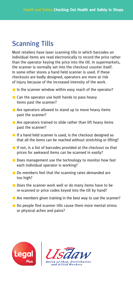### Scanning Tills

Most retailers have laser scanning tills in which barcodes on individual items are read electronically to record the price rather than the operator keying the price into the till. In supermarkets, the scanner is normally set into the checkout counter itself. In some other stores a hand held scanner is used. If these checkouts are badly designed, operators are more at risk of injury because of the increased intensity of the work.

- If Is the scanner window within easy reach of the operator?
- Can the operator use both hands to pass heavy items past the scanner?
- Are operators allowed to stand up to move heavy items past the scanner?
- Are operators trained to slide rather than lift heavy items past the scanner?
- If a hand held scanner is used, is the checkout designed so that all the items can be reached without stretching or lifting?
- If not, is a list of barcodes provided at the checkout so that prices for awkward items can be scanned in easily?
- **Q** Does management use the technology to monitor how fast each individual operator is working?
- Do members feel that the scanning rates demanded are too high?
- O Does the scanner work well or do many items have to be re-scanned or price codes keyed into the till by hand?
- Are members given training in the best way to use the scanner?
- Do people find scanner tills cause them more mental stress or physical aches and pains?



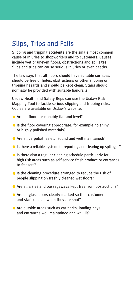# Slips, Trips and Falls

Slipping and tripping accidents are the single most common cause of injuries to shopworkers and to customers. Causes include wet or uneven floors, obstructions and spillages. Slips and trips can cause serious injuries or even deaths.

The law says that all floors should have suitable surfaces, should be free of holes, obstructions or other slipping or tripping hazards and should be kept clean. Stairs should normally be provided with suitable handrails.

Usdaw Health and Safety Reps can use the Usdaw Risk Mapping Tool to tackle serious slipping and tripping risks. Copies are available on Usdaw's website.

- **Are all floors reasonably flat and level?**
- In Is the floor covering appropriate, for example no shiny or highly polished materials?
- Are all carpets/tiles etc, sound and well maintained?
- If Is there a reliable system for reporting and clearing up spillages?
- Is there also a regular cleaning schedule particularly for high risk areas such as self-service fresh produce or entrances to freezers?
- If Is the cleaning procedure arranged to reduce the risk of people slipping on freshly cleaned wet floors?
- Are all aisles and passageways kept free from obstructions?
- **Are all glass doors clearly marked so that customers** and staff can see when they are shut?
- Are outside areas such as car parks, loading bays and entrances well maintained and well lit?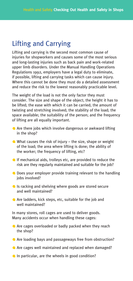### Lifting and Carrying

Lifting and carrying is the second most common cause of injuries for shopworkers and causes some of the most serious and long-lasting injuries such as back pain and work-related upper limb disorders. Under the Manual Handling Operations Regulations 1992, employers have a legal duty to eliminate, if possible, lifting and carrying tasks which can cause injury. Where this cannot be done they must do a detailed assessment and reduce the risk to the lowest reasonably practicable level.

The weight of the load is not the only factor they must consider. The size and shape of the object; the height it has to be lifted; the ease with which it can be carried; the amount of twisting and stretching involved; the stability of the load; the space available; the suitability of the person; and the frequency of lifting are all equally important.

- Are there jobs which involve dangerous or awkward lifting in the shop?
- $\bullet$  What causes the risk of injury the size, shape or weight of the load; the area where lifting is done; the ability of the worker; the frequency of lifting, etc?
- If mechanical aids, trolleys etc, are provided to reduce the risk are they regularly maintained and suitable for the job?
- **O** Does your employer provide training relevant to the handling jobs involved?
- Is racking and shelving where goods are stored secure and well maintained?
- Are ladders, kick steps, etc, suitable for the job and well maintained?

In many stores, roll cages are used to deliver goods. Many accidents occur when handling these cages:

- **Are cages overloaded or badly packed when they reach** the shop?
- Are loading bays and passageways free from obstruction?
- Are cages well maintained and replaced when damaged?
- In particular, are the wheels in good condition?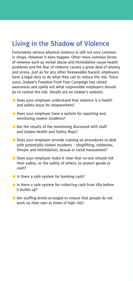### Living in the Shadow of Violence

Fortunately serious physical violence is still not very common in shops. However it does happen. Other more common forms of violence such as verbal abuse and intimidation cause health problems and the fear of violence causes a great deal of anxiety and stress. Just as for any other foreseeable hazard, employers have a legal duty to do what they can to reduce the risk. Since 2002, Usdaw's Freedom From Fear Campaign has raised awareness and spells out what responsible employers should do to control the risk. Details are on Usdaw's website.

- **C** Does your employer understand that violence is a health and safety issue for shopworkers?
- **O** Does your employer have a system for reporting and monitoring violent incidents?
- Are the results of the monitoring discussed with staff and Usdaw Health and Safety Reps?
- Does your employer provide training on procedures to deal with potentially violent incidents – shoplifting, robberies, threats and intimidation, sexual or racial harassment?
- Does your employer make it clear that no-one should risk their safety, or the safety of others, to protect goods or cash?
- If Is there a safe system for banking cash?
- If Is there a safe system for collecting cash from tills before it builds up?
- Are staffing levels arranged to ensure that people do not work on their own at times of high risk?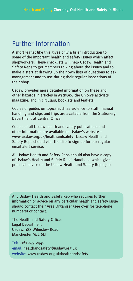### Further Information

A short leaflet like this gives only a brief introduction to some of the important health and safety issues which affect shopworkers. These checklists will help Usdaw Health and Safety Reps to get members talking about the issues and to make a start at drawing up their own lists of questions to ask management and to use during their regular inspections of their shop.

Usdaw provides more detailed information on these and other hazards in articles in *Network,* the Union's activists magazine, and in circulars, booklets and leaflets.

Copies of guides on topics such as violence to staff, manual handling and slips and trips are available from the Stationery Department at Central Office.

Copies of all Usdaw health and safety publications and other information are available on Usdaw's website – **www.usdaw.org.uk/healthandsafety**. Usdaw Health and Safety Reps should visit the site to sign up for our regular email alert service.

All Usdaw Health and Safety Reps should also have a copy of Usdaw's Health and Safety Reps' Handbook which gives practical advice on the Usdaw Health and Safety Rep's job.

Any Usdaw Health and Safety Rep who requires further information or advice on any particular health and safety issue should contact their Area Organiser (see over for telephone numbers) or contact:

The Health and Safety Officer Legal Department Usdaw, 188 Wilmslow Road Manchester M14 6LJ

Tel: 0161 249 2441 email: healthandsafety@usdaw.org.uk website: www.usdaw.org.uk/healthandsafety